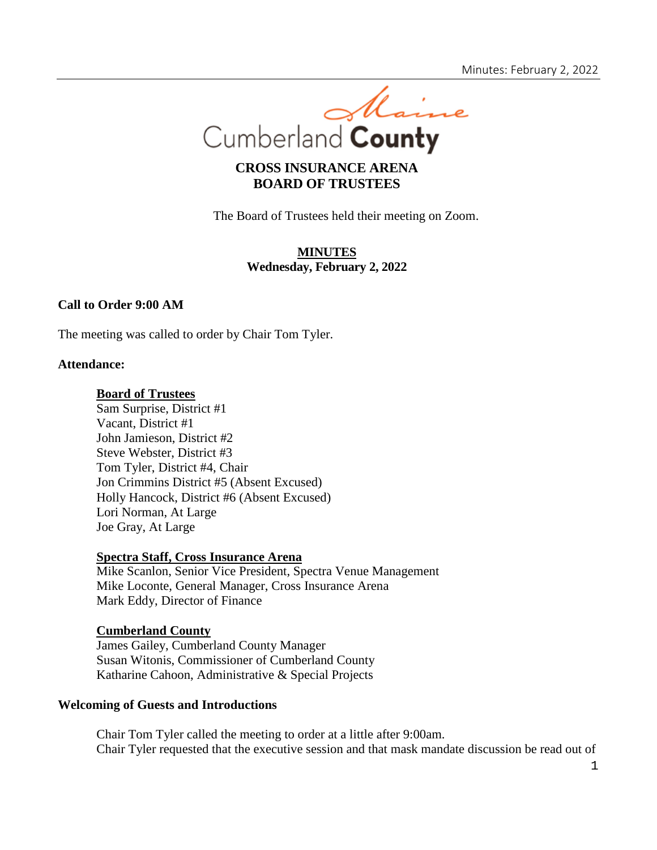

# **CROSS INSURANCE ARENA BOARD OF TRUSTEES**

The Board of Trustees held their meeting on Zoom.

# **MINUTES Wednesday, February 2, 2022**

# **Call to Order 9:00 AM**

The meeting was called to order by Chair Tom Tyler.

#### **Attendance:**

#### **Board of Trustees**

Sam Surprise, District #1 Vacant, District #1 John Jamieson, District #2 Steve Webster, District #3 Tom Tyler, District #4, Chair Jon Crimmins District #5 (Absent Excused) Holly Hancock, District #6 (Absent Excused) Lori Norman, At Large Joe Gray, At Large

#### **Spectra Staff, Cross Insurance Arena**

Mike Scanlon, Senior Vice President, Spectra Venue Management Mike Loconte, General Manager, Cross Insurance Arena Mark Eddy, Director of Finance

### **Cumberland County**

James Gailey, Cumberland County Manager Susan Witonis, Commissioner of Cumberland County Katharine Cahoon, Administrative & Special Projects

## **Welcoming of Guests and Introductions**

Chair Tom Tyler called the meeting to order at a little after 9:00am. Chair Tyler requested that the executive session and that mask mandate discussion be read out of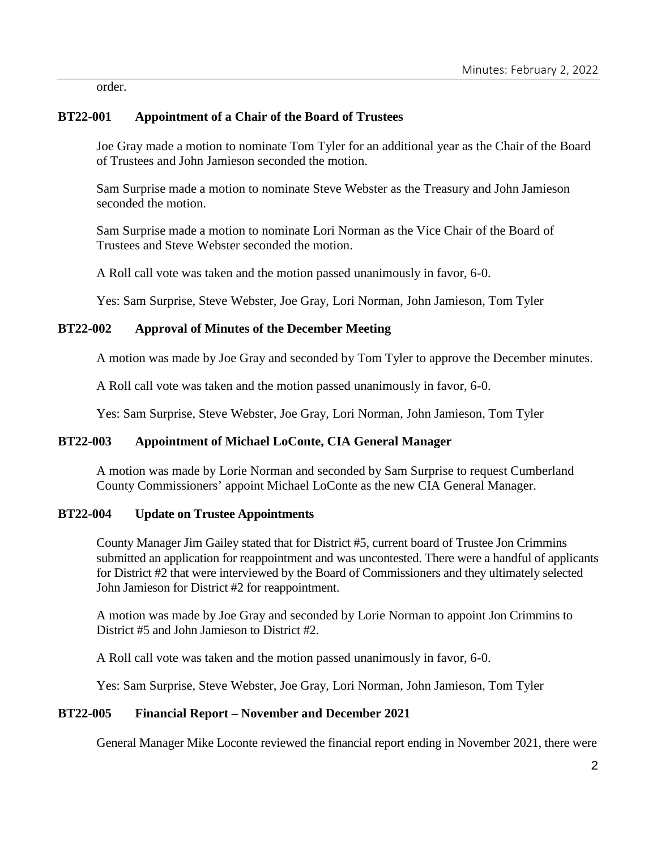order.

# **BT22-001 Appointment of a Chair of the Board of Trustees**

Joe Gray made a motion to nominate Tom Tyler for an additional year as the Chair of the Board of Trustees and John Jamieson seconded the motion.

Sam Surprise made a motion to nominate Steve Webster as the Treasury and John Jamieson seconded the motion.

Sam Surprise made a motion to nominate Lori Norman as the Vice Chair of the Board of Trustees and Steve Webster seconded the motion.

A Roll call vote was taken and the motion passed unanimously in favor, 6-0.

Yes: Sam Surprise, Steve Webster, Joe Gray, Lori Norman, John Jamieson, Tom Tyler

## **BT22-002 Approval of Minutes of the December Meeting**

A motion was made by Joe Gray and seconded by Tom Tyler to approve the December minutes.

A Roll call vote was taken and the motion passed unanimously in favor, 6-0.

Yes: Sam Surprise, Steve Webster, Joe Gray, Lori Norman, John Jamieson, Tom Tyler

# **BT22-003 Appointment of Michael LoConte, CIA General Manager**

A motion was made by Lorie Norman and seconded by Sam Surprise to request Cumberland County Commissioners' appoint Michael LoConte as the new CIA General Manager.

### **BT22-004 Update on Trustee Appointments**

County Manager Jim Gailey stated that for District #5, current board of Trustee Jon Crimmins submitted an application for reappointment and was uncontested. There were a handful of applicants for District #2 that were interviewed by the Board of Commissioners and they ultimately selected John Jamieson for District #2 for reappointment.

A motion was made by Joe Gray and seconded by Lorie Norman to appoint Jon Crimmins to District #5 and John Jamieson to District #2.

A Roll call vote was taken and the motion passed unanimously in favor, 6-0.

Yes: Sam Surprise, Steve Webster, Joe Gray, Lori Norman, John Jamieson, Tom Tyler

# **BT22-005 Financial Report – November and December 2021**

General Manager Mike Loconte reviewed the financial report ending in November 2021, there were